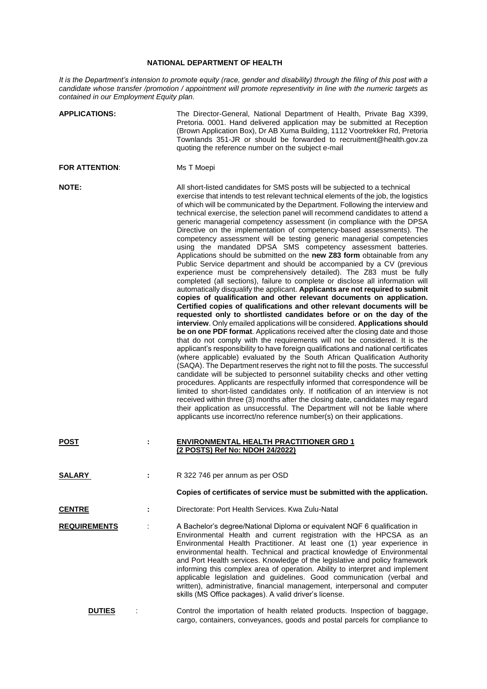## **NATIONAL DEPARTMENT OF HEALTH**

*It is the Department's intension to promote equity (race, gender and disability) through the filing of this post with a candidate whose transfer /promotion / appointment will promote representivity in line with the numeric targets as contained in our Employment Equity plan.*

| <b>APPLICATIONS:</b>  |   | The Director-General, National Department of Health, Private Bag X399,<br>Pretoria. 0001. Hand delivered application may be submitted at Reception<br>(Brown Application Box), Dr AB Xuma Building, 1112 Voortrekker Rd, Pretoria<br>Townlands 351-JR or should be forwarded to recruitment@health.gov.za<br>quoting the reference number on the subject e-mail                                                                                                                                                                                                                                                                                                                                                                                                                                                                                                                                                                                                                                                                                                                                                                                                                                                                                                                                                                                                                                                                                                                                                                                                                                                                                                                                                                                                                                                                                                                                                                                                                                                                                                                                                                                                                                                                                            |
|-----------------------|---|------------------------------------------------------------------------------------------------------------------------------------------------------------------------------------------------------------------------------------------------------------------------------------------------------------------------------------------------------------------------------------------------------------------------------------------------------------------------------------------------------------------------------------------------------------------------------------------------------------------------------------------------------------------------------------------------------------------------------------------------------------------------------------------------------------------------------------------------------------------------------------------------------------------------------------------------------------------------------------------------------------------------------------------------------------------------------------------------------------------------------------------------------------------------------------------------------------------------------------------------------------------------------------------------------------------------------------------------------------------------------------------------------------------------------------------------------------------------------------------------------------------------------------------------------------------------------------------------------------------------------------------------------------------------------------------------------------------------------------------------------------------------------------------------------------------------------------------------------------------------------------------------------------------------------------------------------------------------------------------------------------------------------------------------------------------------------------------------------------------------------------------------------------------------------------------------------------------------------------------------------------|
| <b>FOR ATTENTION:</b> |   | Ms T Moepi                                                                                                                                                                                                                                                                                                                                                                                                                                                                                                                                                                                                                                                                                                                                                                                                                                                                                                                                                                                                                                                                                                                                                                                                                                                                                                                                                                                                                                                                                                                                                                                                                                                                                                                                                                                                                                                                                                                                                                                                                                                                                                                                                                                                                                                 |
| <b>NOTE:</b>          |   | All short-listed candidates for SMS posts will be subjected to a technical<br>exercise that intends to test relevant technical elements of the job, the logistics<br>of which will be communicated by the Department. Following the interview and<br>technical exercise, the selection panel will recommend candidates to attend a<br>generic managerial competency assessment (in compliance with the DPSA<br>Directive on the implementation of competency-based assessments). The<br>competency assessment will be testing generic managerial competencies<br>using the mandated DPSA SMS competency assessment batteries.<br>Applications should be submitted on the new Z83 form obtainable from any<br>Public Service department and should be accompanied by a CV (previous<br>experience must be comprehensively detailed). The Z83 must be fully<br>completed (all sections), failure to complete or disclose all information will<br>automatically disqualify the applicant. Applicants are not required to submit<br>copies of qualification and other relevant documents on application.<br>Certified copies of qualifications and other relevant documents will be<br>requested only to shortlisted candidates before or on the day of the<br>interview. Only emailed applications will be considered. Applications should<br>be on one PDF format. Applications received after the closing date and those<br>that do not comply with the requirements will not be considered. It is the<br>applicant's responsibility to have foreign qualifications and national certificates<br>(where applicable) evaluated by the South African Qualification Authority<br>(SAQA). The Department reserves the right not to fill the posts. The successful<br>candidate will be subjected to personnel suitability checks and other vetting<br>procedures. Applicants are respectfully informed that correspondence will be<br>limited to short-listed candidates only. If notification of an interview is not<br>received within three (3) months after the closing date, candidates may regard<br>their application as unsuccessful. The Department will not be liable where<br>applicants use incorrect/no reference number(s) on their applications. |
| <b>POST</b>           |   | <b>ENVIRONMENTAL HEALTH PRACTITIONER GRD 1</b><br>(2 POSTS) Ref No: NDOH 24/2022)                                                                                                                                                                                                                                                                                                                                                                                                                                                                                                                                                                                                                                                                                                                                                                                                                                                                                                                                                                                                                                                                                                                                                                                                                                                                                                                                                                                                                                                                                                                                                                                                                                                                                                                                                                                                                                                                                                                                                                                                                                                                                                                                                                          |
| <b>SALARY</b>         |   | R 322 746 per annum as per OSD                                                                                                                                                                                                                                                                                                                                                                                                                                                                                                                                                                                                                                                                                                                                                                                                                                                                                                                                                                                                                                                                                                                                                                                                                                                                                                                                                                                                                                                                                                                                                                                                                                                                                                                                                                                                                                                                                                                                                                                                                                                                                                                                                                                                                             |
|                       |   | Copies of certificates of service must be submitted with the application.                                                                                                                                                                                                                                                                                                                                                                                                                                                                                                                                                                                                                                                                                                                                                                                                                                                                                                                                                                                                                                                                                                                                                                                                                                                                                                                                                                                                                                                                                                                                                                                                                                                                                                                                                                                                                                                                                                                                                                                                                                                                                                                                                                                  |
| <b>CENTRE</b>         | ÷ | Directorate: Port Health Services, Kwa Zulu-Natal                                                                                                                                                                                                                                                                                                                                                                                                                                                                                                                                                                                                                                                                                                                                                                                                                                                                                                                                                                                                                                                                                                                                                                                                                                                                                                                                                                                                                                                                                                                                                                                                                                                                                                                                                                                                                                                                                                                                                                                                                                                                                                                                                                                                          |
| <b>REQUIREMENTS</b>   |   | A Bachelor's degree/National Diploma or equivalent NQF 6 qualification in<br>Environmental Health and current registration with the HPCSA as an<br>Environmental Health Practitioner. At least one (1) year experience in<br>environmental health. Technical and practical knowledge of Environmental<br>and Port Health services. Knowledge of the legislative and policy framework<br>informing this complex area of operation. Ability to interpret and implement<br>applicable legislation and guidelines. Good communication (verbal and<br>written), administrative, financial management, interpersonal and computer<br>skills (MS Office packages). A valid driver's license.                                                                                                                                                                                                                                                                                                                                                                                                                                                                                                                                                                                                                                                                                                                                                                                                                                                                                                                                                                                                                                                                                                                                                                                                                                                                                                                                                                                                                                                                                                                                                                      |
| <b>DUTIES</b>         |   | Control the importation of health related products. Inspection of baggage,<br>cargo, containers, conveyances, goods and postal parcels for compliance to                                                                                                                                                                                                                                                                                                                                                                                                                                                                                                                                                                                                                                                                                                                                                                                                                                                                                                                                                                                                                                                                                                                                                                                                                                                                                                                                                                                                                                                                                                                                                                                                                                                                                                                                                                                                                                                                                                                                                                                                                                                                                                   |